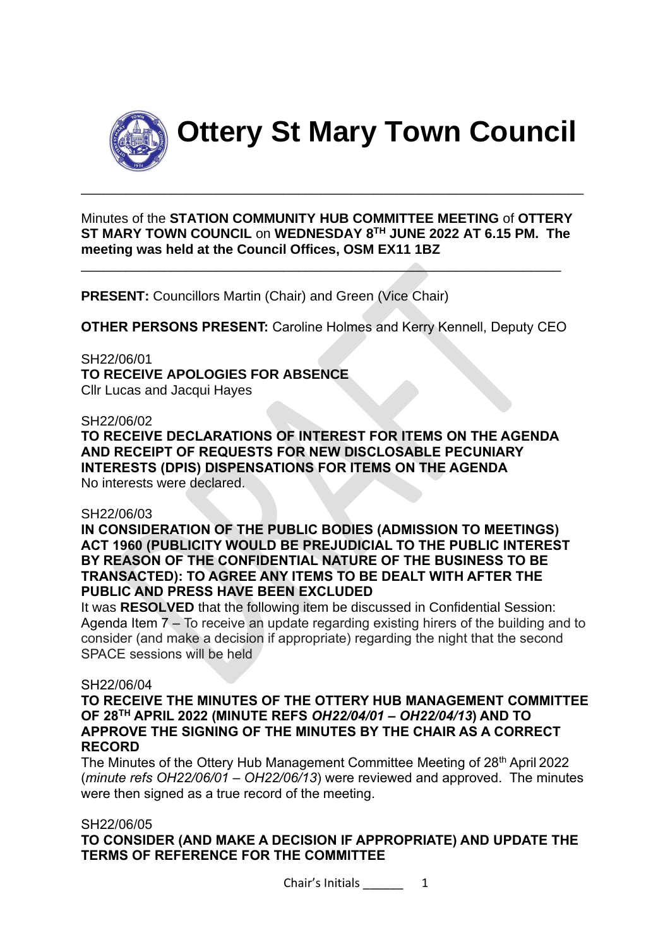

**Ottery St Mary Town Council**

Minutes of the **STATION COMMUNITY HUB COMMITTEE MEETING** of **OTTERY ST MARY TOWN COUNCIL** on **WEDNESDAY 8TH JUNE 2022 AT 6.15 PM. The meeting was held at the Council Offices, OSM EX11 1BZ**

\_\_\_\_\_\_\_\_\_\_\_\_\_\_\_\_\_\_\_\_\_\_\_\_\_\_\_\_\_\_\_\_\_\_\_\_\_\_\_\_\_\_\_\_\_\_\_\_\_\_\_\_\_\_\_\_\_\_\_\_\_\_\_\_

\_\_\_\_\_\_\_\_\_\_\_\_\_\_\_\_\_\_\_\_\_\_\_\_\_\_\_\_\_\_\_\_\_\_\_\_\_\_\_\_\_\_\_\_\_\_\_\_\_\_\_\_\_\_\_\_\_\_\_\_\_\_\_\_\_\_\_

**PRESENT:** Councillors Martin (Chair) and Green (Vice Chair)

**OTHER PERSONS PRESENT:** Caroline Holmes and Kerry Kennell, Deputy CEO

SH22/06/01 **TO RECEIVE APOLOGIES FOR ABSENCE** Cllr Lucas and Jacqui Hayes

#### SH22/06/02

**TO RECEIVE DECLARATIONS OF INTEREST FOR ITEMS ON THE AGENDA AND RECEIPT OF REQUESTS FOR NEW DISCLOSABLE PECUNIARY INTERESTS (DPIS) DISPENSATIONS FOR ITEMS ON THE AGENDA** No interests were declared.

#### SH22/06/03

**IN CONSIDERATION OF THE PUBLIC BODIES (ADMISSION TO MEETINGS) ACT 1960 (PUBLICITY WOULD BE PREJUDICIAL TO THE PUBLIC INTEREST BY REASON OF THE CONFIDENTIAL NATURE OF THE BUSINESS TO BE TRANSACTED): TO AGREE ANY ITEMS TO BE DEALT WITH AFTER THE PUBLIC AND PRESS HAVE BEEN EXCLUDED**

It was **RESOLVED** that the following item be discussed in Confidential Session: Agenda Item 7 – To receive an update regarding existing hirers of the building and to consider (and make a decision if appropriate) regarding the night that the second SPACE sessions will be held

#### SH22/06/04

**TO RECEIVE THE MINUTES OF THE OTTERY HUB MANAGEMENT COMMITTEE OF 28TH APRIL 2022 (MINUTE REFS** *OH22/04/01 – OH22/04/13***) AND TO APPROVE THE SIGNING OF THE MINUTES BY THE CHAIR AS A CORRECT RECORD**

The Minutes of the Ottery Hub Management Committee Meeting of 28<sup>th</sup> April 2022 (*minute refs OH22/06/01 – OH22/06/13*) were reviewed and approved. The minutes were then signed as a true record of the meeting.

#### SH22/06/05

**TO CONSIDER (AND MAKE A DECISION IF APPROPRIATE) AND UPDATE THE TERMS OF REFERENCE FOR THE COMMITTEE**

Chair's Initials \_\_\_\_\_\_\_\_\_\_ 1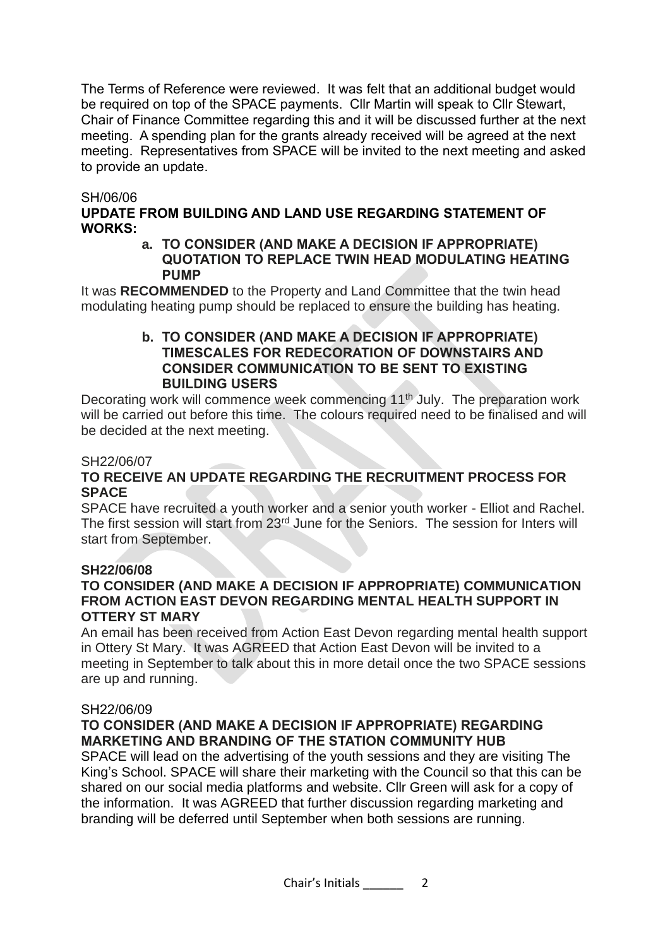The Terms of Reference were reviewed. It was felt that an additional budget would be required on top of the SPACE payments. Cllr Martin will speak to Cllr Stewart, Chair of Finance Committee regarding this and it will be discussed further at the next meeting. A spending plan for the grants already received will be agreed at the next meeting. Representatives from SPACE will be invited to the next meeting and asked to provide an update.

#### SH/06/06

# **UPDATE FROM BUILDING AND LAND USE REGARDING STATEMENT OF WORKS:**

**a. TO CONSIDER (AND MAKE A DECISION IF APPROPRIATE) QUOTATION TO REPLACE TWIN HEAD MODULATING HEATING PUMP**

It was **RECOMMENDED** to the Property and Land Committee that the twin head modulating heating pump should be replaced to ensure the building has heating.

#### **b. TO CONSIDER (AND MAKE A DECISION IF APPROPRIATE) TIMESCALES FOR REDECORATION OF DOWNSTAIRS AND CONSIDER COMMUNICATION TO BE SENT TO EXISTING BUILDING USERS**

Decorating work will commence week commencing 11<sup>th</sup> July. The preparation work will be carried out before this time. The colours required need to be finalised and will be decided at the next meeting.

#### SH22/06/07

# **TO RECEIVE AN UPDATE REGARDING THE RECRUITMENT PROCESS FOR SPACE**

SPACE have recruited a youth worker and a senior youth worker - Elliot and Rachel. The first session will start from 23rd June for the Seniors. The session for Inters will start from September.

#### **SH22/06/08**

# **TO CONSIDER (AND MAKE A DECISION IF APPROPRIATE) COMMUNICATION FROM ACTION EAST DEVON REGARDING MENTAL HEALTH SUPPORT IN OTTERY ST MARY**

An email has been received from Action East Devon regarding mental health support in Ottery St Mary. It was AGREED that Action East Devon will be invited to a meeting in September to talk about this in more detail once the two SPACE sessions are up and running.

#### SH22/06/09

# **TO CONSIDER (AND MAKE A DECISION IF APPROPRIATE) REGARDING MARKETING AND BRANDING OF THE STATION COMMUNITY HUB**

SPACE will lead on the advertising of the youth sessions and they are visiting The King's School. SPACE will share their marketing with the Council so that this can be shared on our social media platforms and website. Cllr Green will ask for a copy of the information. It was AGREED that further discussion regarding marketing and branding will be deferred until September when both sessions are running.